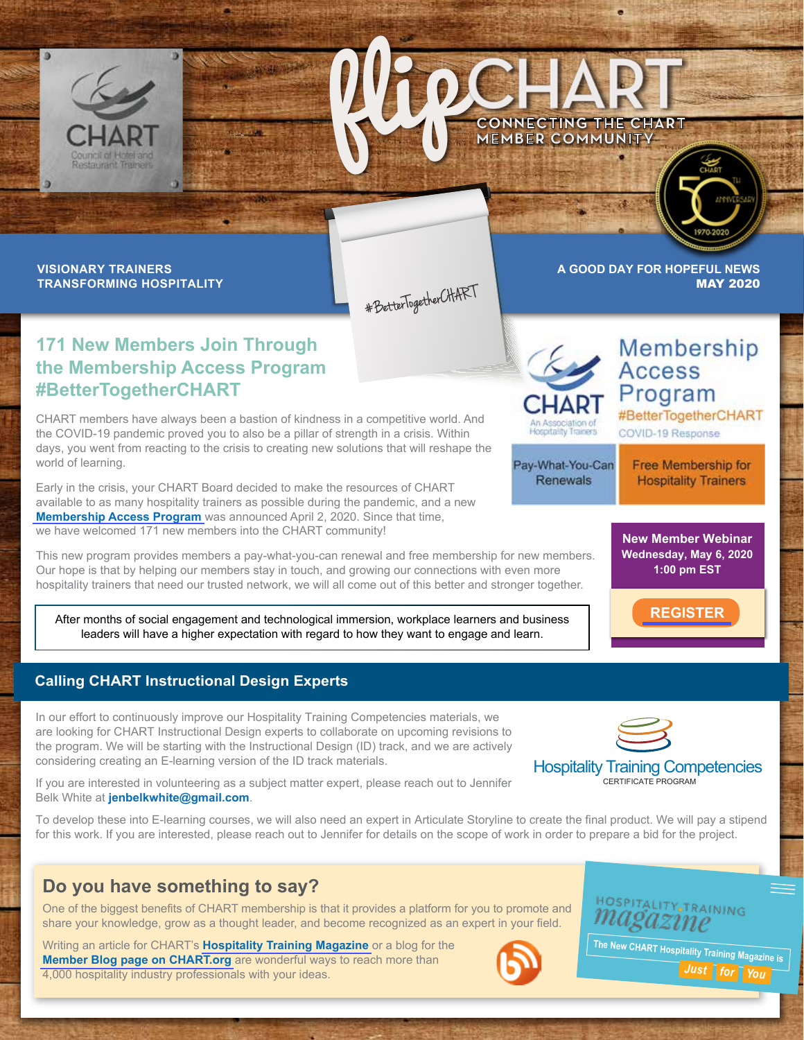



**VISIONARY TRAINERS TRANSFORMING HOSPITALITY**

#BetterTogetherCHART

**A GOOD DAY FOR HOPEFUL NEWS** MAY 2020

> **Access** Program

COVID-19 Response

## **171 New Members Join Through the Membership Access Program #BetterTogetherCHART**

CHART members have always been a bastion of kindness in a competitive world. And the COVID-19 pandemic proved you to also be a pillar of strength in a crisis. Within days, you went from reacting to the crisis to creating new solutions that will reshape the world of learning.

Early in the crisis, your CHART Board decided to make the resources of CHART available to as many hospitality trainers as possible during the pandemic, and a new **[Membership Access Program](https://www.chart.org/about-chart/news/announcements/chart-launches-covid-19-membership-access-program.html)** was announced April 2, 2020. Since that time, we have welcomed 171 new members into the CHART community!

This new program provides members a pay-what-you-can renewal and free membership for new members. Our hope is that by helping our members stay in touch, and growing our connections with even more hospitality trainers that need our trusted network, we will all come out of this better and stronger together.

After months of social engagement and technological immersion, workplace learners and business leaders will have a higher expectation with regard to how they want to engage and learn.

## **Calling CHART Instructional Design Experts**

In our effort to continuously improve our Hospitality Training Competencies materials, we are looking for CHART Instructional Design experts to collaborate on upcoming revisions to the program. We will be starting with the Instructional Design (ID) track, and we are actively considering creating an E-learning version of the ID track materials.

If you are interested in volunteering as a subject matter expert, please reach out to Jennifer Belk White at **jenbelkwhite@gmail.com**.

To develop these into E-learning courses, we will also need an expert in Articulate Storyline to create the final product. We will pay a stipend for this work. If you are interested, please reach out to Jennifer for details on the scope of work in order to prepare a bid for the project.

## **Do you have something to say?**

One of the biggest benefits of CHART membership is that it provides a platform for you to promote and share your knowledge, grow as a thought leader, and become recognized as an expert in your field.

Writing an article for CHART's **[Hospitality Training Magazine](www.hospitalitytrainingmagazine.com)** or a blog for the **[Member Blog page on CHART.org](https://www.chart.org/training-tools-and-resources/members-blog/)** are wonderful ways to reach more than 4,000 hospitality industry professionals with your ideas.





Hospitality Training Competencies CERTIFICATE PROGRAM

**The New CHART Hospitality Training Magazine is** 



Pay-What-You-Can **Renewals** 

Free Membership for **Hospitality Trainers** 

#BetterTogetherCHART

Membership

**New Member Webinar Wednesday, May 6, 2020 1:00 pm EST**

**[REGISTER](https://us02web.zoom.us/webinar/register/WN_KsQbU_GmTLWa8K4AtDTvMg)**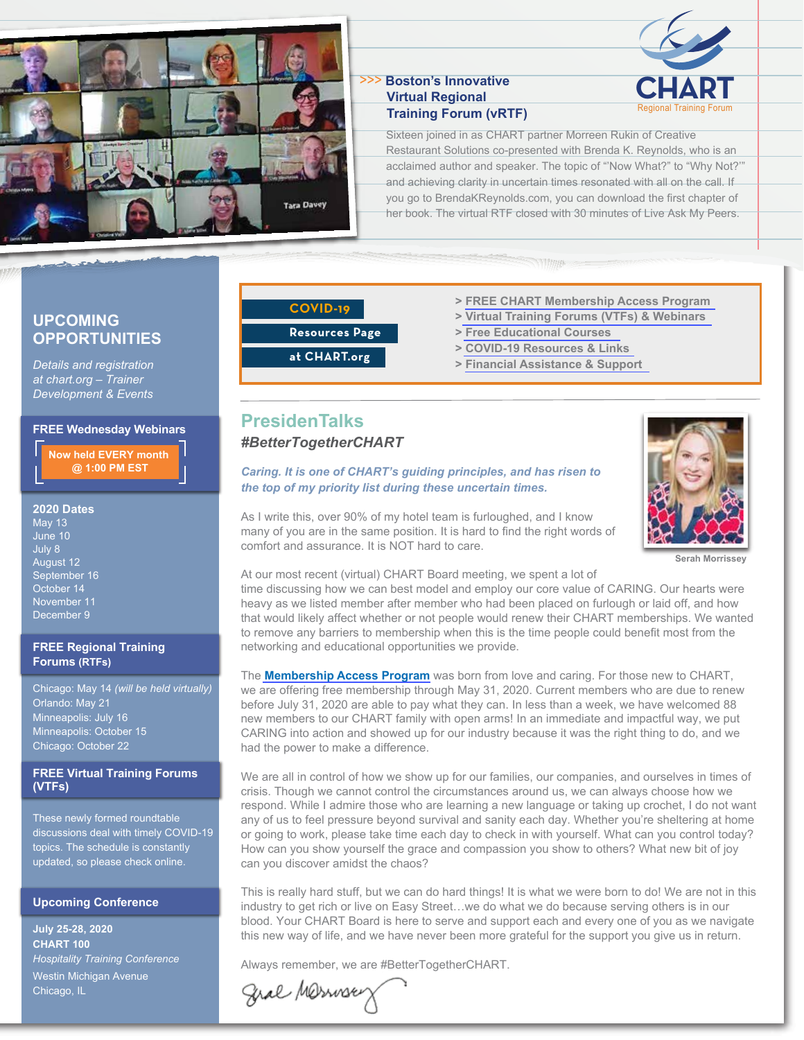

#### **CHART** >>> **Boston's Innovative Virtual Regional Training Forum (vRTF)**



Sixteen joined in as CHART partner Morreen Rukin of Creative Restaurant Solutions co-presented with Brenda K. Reynolds, who is an acclaimed author and speaker. The topic of "'Now What?" to "Why Not?'" and achieving clarity in uncertain times resonated with all on the call. If you go to BrendaKReynolds.com, you can download the first chapter of her book. The virtual RTF closed with 30 minutes of Live Ask My Peers.

## **UPCOMING OPPORTUNITIES**

*Details and registration at chart.org – Trainer Development & Events*

#### **FREE Wednesday Webinars**

**Now held EVERY month @ 1:00 PM EST**

#### **2020 Dates**

May 13 June 10 July 8 August 12 September 16 October 14 November 11 December 9

#### **FREE Regional Training Forums (RTFs)**

Chicago: May 14 *(will be held virtually)* Orlando: May 21 Minneapolis: July 16 Minneapolis: October 15 Chicago: October 22

#### **FREE Virtual Training Forums (VTFs)**

These newly formed roundtable discussions deal with timely COVID-19 topics. The schedule is constantly updated, so please check online.

#### **Upcoming Conference**

**July 25-28, 2020 CHART 100** *Hospitality Training Conference* Westin Michigan Avenue Chicago, IL

## **COVID-19**

## **Resources Page**

**at CHART.org**

- **> [FREE CHART Membership Access Program](https://www.chart.org/training-tools-and-resources/covid-19-resources.html)**
- **[> Virtual Training Forums \(VTFs\) & Webinars](https://www.chart.org/training-tools-and-resources/covid-19-resources.html)**
- **> [Free Educational Courses](https://www.chart.org/training-tools-and-resources/covid-19-resources.html)**
- **> [COVID-19 Resources & Links](https://www.chart.org/training-tools-and-resources/covid-19-resources.html)**
- **> [Financial Assistance & Support](https://www.chart.org/training-tools-and-resources/covid-19-resources.html)**

## **PresidenTalks**  *#BetterTogetherCHART*

## *Caring. It is one of CHART's guiding principles, and has risen to the top of my priority list during these uncertain times.*



As I write this, over 90% of my hotel team is furloughed, and I know many of you are in the same position. It is hard to find the right words of comfort and assurance. It is NOT hard to care.

**Serah Morrissey**

# At our most recent (virtual) CHART Board meeting, we spent a lot of

time discussing how we can best model and employ our core value of CARING. Our hearts were heavy as we listed member after member who had been placed on furlough or laid off, and how that would likely affect whether or not people would renew their CHART memberships. We wanted to remove any barriers to membership when this is the time people could benefit most from the networking and educational opportunities we provide.

The **[Membership Access Program](https://www.chart.org/about-chart/news/announcements/chart-launches-covid-19-membership-access-program.html)** was born from love and caring. For those new to CHART, we are offering free membership through May 31, 2020. Current members who are due to renew before July 31, 2020 are able to pay what they can. In less than a week, we have welcomed 88 new members to our CHART family with open arms! In an immediate and impactful way, we put CARING into action and showed up for our industry because it was the right thing to do, and we had the power to make a difference.

We are all in control of how we show up for our families, our companies, and ourselves in times of crisis. Though we cannot control the circumstances around us, we can always choose how we respond. While I admire those who are learning a new language or taking up crochet, I do not want any of us to feel pressure beyond survival and sanity each day. Whether you're sheltering at home or going to work, please take time each day to check in with yourself. What can you control today? How can you show yourself the grace and compassion you show to others? What new bit of joy can you discover amidst the chaos?

This is really hard stuff, but we can do hard things! It is what we were born to do! We are not in this industry to get rich or live on Easy Street…we do what we do because serving others is in our blood. Your CHART Board is here to serve and support each and every one of you as we navigate this new way of life, and we have never been more grateful for the support you give us in return.

Always remember, we are #BetterTogetherCHART.

Gral Merroses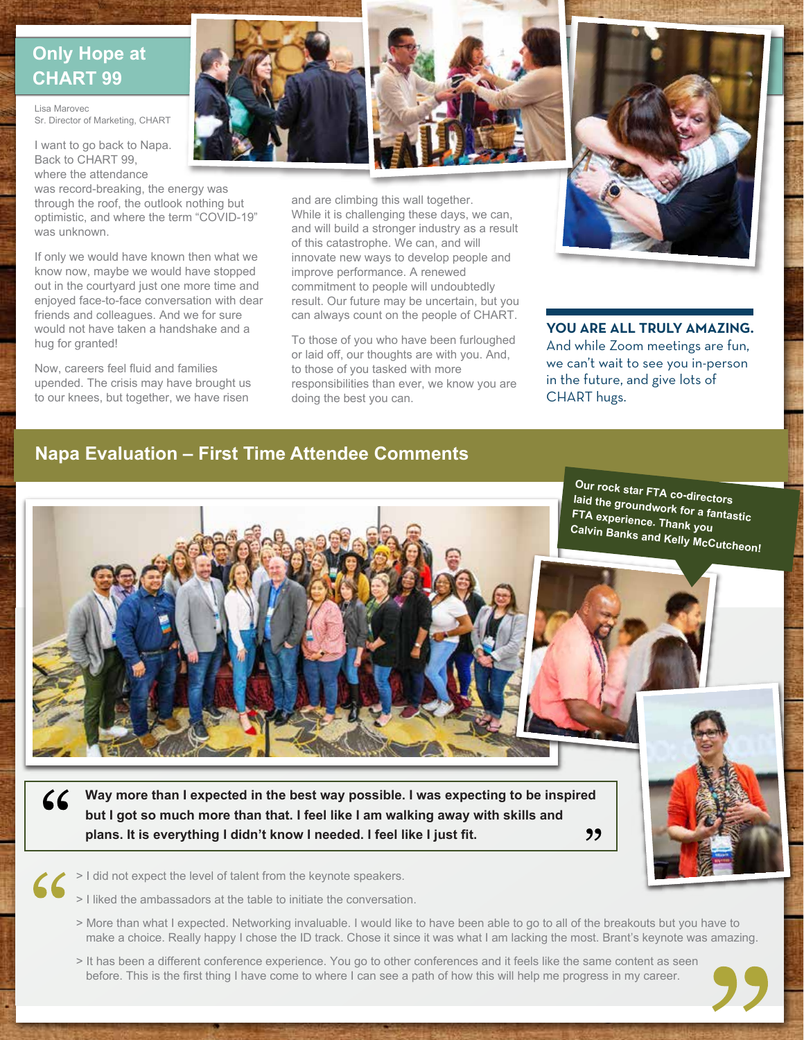# **Only Hope at CHART 99**

Lisa Marovec Sr. Director of Marketing, CHART

I want to go back to Napa. Back to CHART 99, where the attendance

was record-breaking, the energy was through the roof, the outlook nothing but optimistic, and where the term "COVID-19" was unknown.

If only we would have known then what we know now, maybe we would have stopped out in the courtyard just one more time and enjoyed face-to-face conversation with dear friends and colleagues. And we for sure would not have taken a handshake and a hug for granted!

Now, careers feel fluid and families upended. The crisis may have brought us to our knees, but together, we have risen



and are climbing this wall together. While it is challenging these days, we can, and will build a stronger industry as a result of this catastrophe. We can, and will innovate new ways to develop people and improve performance. A renewed commitment to people will undoubtedly result. Our future may be uncertain, but you can always count on the people of CHART.

To those of you who have been furloughed or laid off, our thoughts are with you. And, to those of you tasked with more responsibilities than ever, we know you are doing the best you can.



**YOU ARE ALL TRULY AMAZING.** And while Zoom meetings are fun, we can't wait to see you in-person in the future, and give lots of CHART hugs.

## **Napa Evaluation – First Time Attendee Comments**





**Calvin Banks and Kelly McCutcheon!**



 $66$ **Way more than I expected in the best way possible. I was expecting to be inspired but I got so much more than that. I feel like I am walking away with skills and plans. It is everything I didn't know I needed. I feel like I just fit.**

"

- > I did not expect the level of talent from the keynote speakers.  $\angle$ 
	- > I liked the ambassadors at the table to initiate the conversation.
	- > More than what I expected. Networking invaluable. I would like to have been able to go to all of the breakouts but you have to make a choice. Really happy I chose the ID track. Chose it since it was what I am lacking the most. Brant's keynote was amazing.
	- > It has been a different conference experience. You go to other conferences and it feels like the same content as seen before. This is the first thing I have come to where I can see a path of how this will help me progress in my career.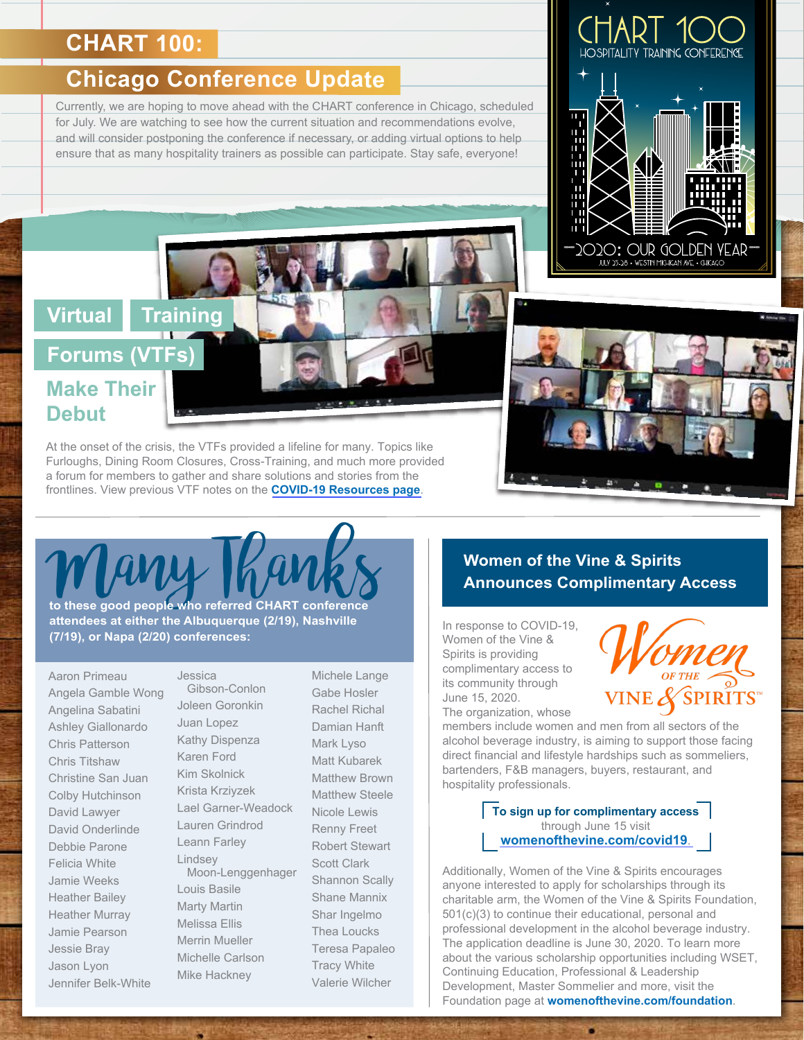# **CHART 100:**

# **Chicago Conference Update**

Currently, we are hoping to move ahead with the CHART conference in Chicago, scheduled for July. We are watching to see how the current situation and recommendations evolve, and will consider postponing the conference if necessary, or adding virtual options to help ensure that as many hospitality trainers as possible can participate. Stay safe, everyone!

# **Virtual Training**

# **Forums (VTFs) Make Their Debut**

At the onset of the crisis, the VTFs provided a lifeline for many. Topics like Furloughs, Dining Room Closures, Cross-Training, and much more provided a forum for members to gather and share solutions and stories from the frontlines. View previous VTF notes on the **[COVID-19 Resources page](https://www.chart.org/training-tools-and-resources/covid-19-resources.html)**.



 $2O$ 20 $\colon$  OUR GOLDEN 8 • WESTIN MICHIGAN AVE • CHIC

**WORD AND RESEARCE AND RESEARCH AND RESEARCH AND RESEARCH AND RESPOND TO THANK AND ANNOUNCES COMPlimentary Access to these good people who referred CHART conference attendees at either the Albuquerque (2/19), Nashville (7/19), or Napa (2/20) conferences:**

Aaron Primeau Angela Gamble Wong Angelina Sabatini Ashley Giallonardo Chris Patterson Chris Titshaw Christine San Juan Colby Hutchinson David Lawyer David Onderlinde Debbie Parone Felicia White Jamie Weeks Heather Bailey Heather Murray Jamie Pearson Jessie Bray Jason Lyon Jennifer Belk-White

Jessica Gibson-Conlon Joleen Goronkin Juan Lopez Kathy Dispenza Karen Ford Kim Skolnick Krista Krziyzek Lael Garner-Weadock Lauren Grindrod Leann Farley Lindsey Moon-Lenggenhager Louis Basile Marty Martin Melissa Ellis Merrin Mueller Michelle Carlson Mike Hackney

Michele Lange Gabe Hosler Rachel Richal Damian Hanft Mark Lyso Matt Kubarek Matthew Brown Matthew Steele Nicole Lewis Renny Freet Robert Stewart Scott Clark Shannon Scally Shane Mannix Shar Ingelmo Thea Loucks Teresa Papaleo Tracy White Valerie Wilcher

In response to COVID-19, Women of the Vine & Spirits is providing complimentary access to its community through June 15, 2020. The organization, whose



members include women and men from all sectors of the alcohol beverage industry, is aiming to support those facing direct financial and lifestyle hardships such as sommeliers, bartenders, F&B managers, buyers, restaurant, and hospitality professionals.

> **To sign up for complimentary access**  through June 15 visit **[womenofthevine.com/covid19](https://www.womenofthevine.com/covid19)**.

Additionally, Women of the Vine & Spirits encourages anyone interested to apply for scholarships through its charitable arm, the Women of the Vine & Spirits Foundation, 501(c)(3) to continue their educational, personal and professional development in the alcohol beverage industry. The application deadline is June 30, 2020. To learn more about the various scholarship opportunities including WSET, Continuing Education, Professional & Leadership Development, Master Sommelier and more, visit the Foundation page at **womenofthevine.com/foundation**.